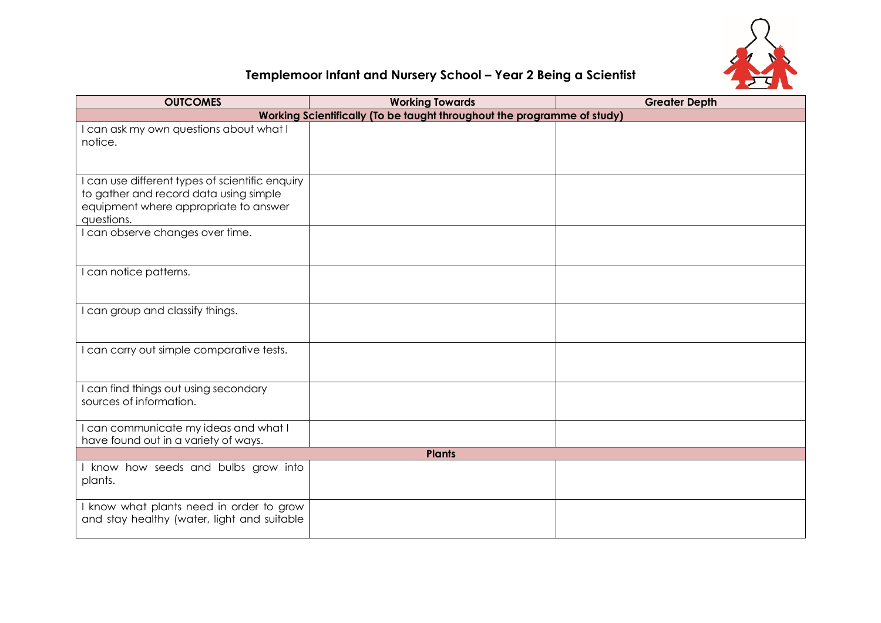

## **Templemoor Infant and Nursery School – Year 2 Being a Scientist**

| <b>OUTCOMES</b>                                                                                                                                  | <b>Working Towards</b> | <b>Greater Depth</b> |  |  |
|--------------------------------------------------------------------------------------------------------------------------------------------------|------------------------|----------------------|--|--|
| Working Scientifically (To be taught throughout the programme of study)                                                                          |                        |                      |  |  |
| I can ask my own questions about what I<br>notice.                                                                                               |                        |                      |  |  |
| I can use different types of scientific enquiry<br>to gather and record data using simple<br>equipment where appropriate to answer<br>questions. |                        |                      |  |  |
| I can observe changes over time.                                                                                                                 |                        |                      |  |  |
| I can notice patterns.                                                                                                                           |                        |                      |  |  |
| I can group and classify things.                                                                                                                 |                        |                      |  |  |
| I can carry out simple comparative tests.                                                                                                        |                        |                      |  |  |
| I can find things out using secondary<br>sources of information.                                                                                 |                        |                      |  |  |
| I can communicate my ideas and what I<br>have found out in a variety of ways.                                                                    |                        |                      |  |  |
| <b>Plants</b>                                                                                                                                    |                        |                      |  |  |
| I know how seeds and bulbs grow into<br>plants.                                                                                                  |                        |                      |  |  |
| I know what plants need in order to grow<br>and stay healthy (water, light and suitable                                                          |                        |                      |  |  |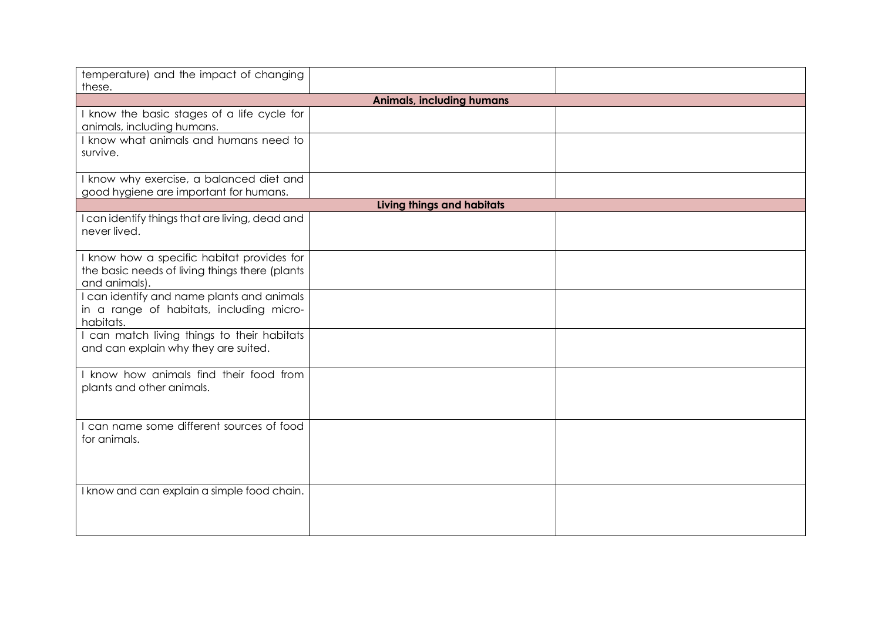| temperature) and the impact of changing                                                                       |  |  |  |  |
|---------------------------------------------------------------------------------------------------------------|--|--|--|--|
| these.                                                                                                        |  |  |  |  |
| <b>Animals, including humans</b>                                                                              |  |  |  |  |
| I know the basic stages of a life cycle for<br>animals, including humans.                                     |  |  |  |  |
| I know what animals and humans need to                                                                        |  |  |  |  |
| survive.                                                                                                      |  |  |  |  |
| I know why exercise, a balanced diet and                                                                      |  |  |  |  |
| good hygiene are important for humans.                                                                        |  |  |  |  |
| Living things and habitats                                                                                    |  |  |  |  |
| I can identify things that are living, dead and<br>never lived.                                               |  |  |  |  |
| I know how a specific habitat provides for<br>the basic needs of living things there (plants<br>and animals). |  |  |  |  |
| I can identify and name plants and animals<br>in a range of habitats, including micro-<br>habitats.           |  |  |  |  |
| I can match living things to their habitats<br>and can explain why they are suited.                           |  |  |  |  |
| I know how animals find their food from<br>plants and other animals.                                          |  |  |  |  |
| I can name some different sources of food<br>for animals.                                                     |  |  |  |  |
| I know and can explain a simple food chain.                                                                   |  |  |  |  |